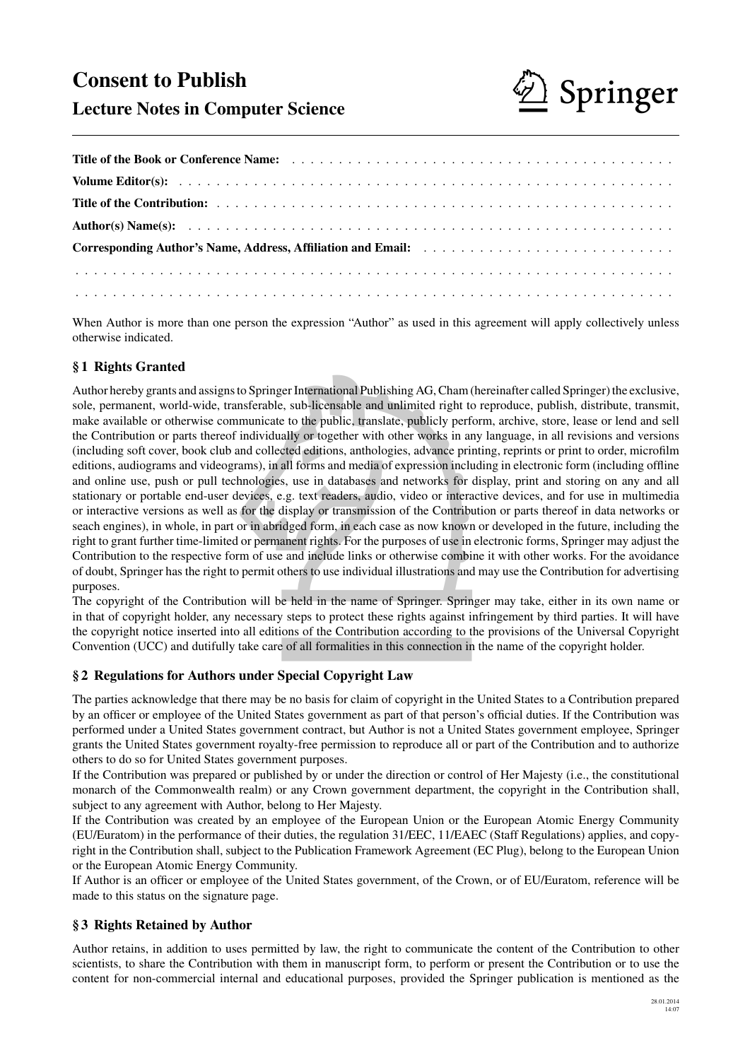# Consent to Publish



# Lecture Notes in Computer Science

| Corresponding Author's Name, Address, Affiliation and Email: |  |
|--------------------------------------------------------------|--|
|                                                              |  |
|                                                              |  |

When Author is more than one person the expression "Author" as used in this agreement will apply collectively unless otherwise indicated.

# § 1 Rights Granted

elect international Publishing Ad, Chain<br>
e, sub-licensable and unlimited right t<br>
e to the public, translate, publicly perf<br>
ally or together with other works in a<br>
cted editions, anthologies, advance pri<br>
all forms and m Author hereby grants and assigns to Springer International Publishing AG, Cham (hereinafter called Springer) the exclusive, sole, permanent, world-wide, transferable, sub-licensable and unlimited right to reproduce, publish, distribute, transmit, make available or otherwise communicate to the public, translate, publicly perform, archive, store, lease or lend and sell the Contribution or parts thereof individually or together with other works in any language, in all revisions and versions (including soft cover, book club and collected editions, anthologies, advance printing, reprints or print to order, microfilm editions, audiograms and videograms), in all forms and media of expression including in electronic form (including offline and online use, push or pull technologies, use in databases and networks for display, print and storing on any and all stationary or portable end-user devices, e.g. text readers, audio, video or interactive devices, and for use in multimedia or interactive versions as well as for the display or transmission of the Contribution or parts thereof in data networks or seach engines), in whole, in part or in abridged form, in each case as now known or developed in the future, including the right to grant further time-limited or permanent rights. For the purposes of use in electronic forms, Springer may adjust the Contribution to the respective form of use and include links or otherwise combine it with other works. For the avoidance of doubt, Springer has the right to permit others to use individual illustrations and may use the Contribution for advertising purposes.

The copyright of the Contribution will be held in the name of Springer. Springer may take, either in its own name or in that of copyright holder, any necessary steps to protect these rights against infringement by third parties. It will have the copyright notice inserted into all editions of the Contribution according to the provisions of the Universal Copyright Convention (UCC) and dutifully take care of all formalities in this connection in the name of the copyright holder.

# § 2 Regulations for Authors under Special Copyright Law

The parties acknowledge that there may be no basis for claim of copyright in the United States to a Contribution prepared by an officer or employee of the United States government as part of that person's official duties. If the Contribution was performed under a United States government contract, but Author is not a United States government employee, Springer grants the United States government royalty-free permission to reproduce all or part of the Contribution and to authorize others to do so for United States government purposes.

If the Contribution was prepared or published by or under the direction or control of Her Majesty (i.e., the constitutional monarch of the Commonwealth realm) or any Crown government department, the copyright in the Contribution shall, subject to any agreement with Author, belong to Her Majesty.

If the Contribution was created by an employee of the European Union or the European Atomic Energy Community (EU/Euratom) in the performance of their duties, the regulation 31/EEC, 11/EAEC (Staff Regulations) applies, and copyright in the Contribution shall, subject to the Publication Framework Agreement (EC Plug), belong to the European Union or the European Atomic Energy Community.

If Author is an officer or employee of the United States government, of the Crown, or of EU/Euratom, reference will be made to this status on the signature page.

# § 3 Rights Retained by Author

Author retains, in addition to uses permitted by law, the right to communicate the content of the Contribution to other scientists, to share the Contribution with them in manuscript form, to perform or present the Contribution or to use the content for non-commercial internal and educational purposes, provided the Springer publication is mentioned as the